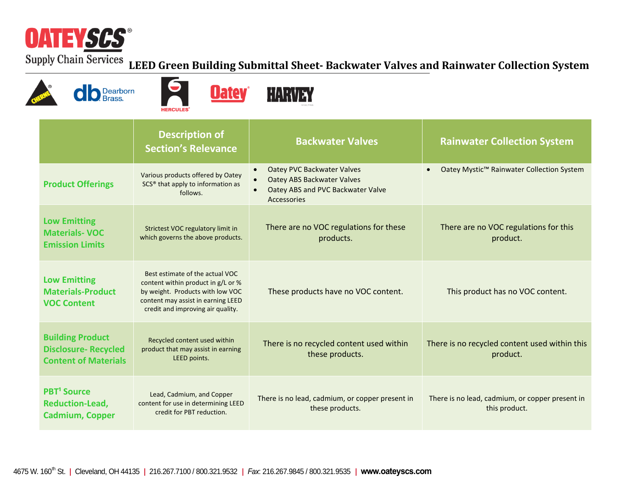

## **LEED Green Building Submittal Sheet- Backwater Valves and Rainwater Collection System**







|                                                                                      | <b>Description of</b><br><b>Section's Relevance</b>                                                                                                                                  | <b>Backwater Valves</b>                                                                                                                              | <b>Rainwater Collection System</b>                               |
|--------------------------------------------------------------------------------------|--------------------------------------------------------------------------------------------------------------------------------------------------------------------------------------|------------------------------------------------------------------------------------------------------------------------------------------------------|------------------------------------------------------------------|
| <b>Product Offerings</b>                                                             | Various products offered by Oatey<br>SCS <sup>®</sup> that apply to information as<br>follows.                                                                                       | Oatey PVC Backwater Valves<br>$\bullet$<br><b>Oatey ABS Backwater Valves</b><br>$\bullet$<br>Oatey ABS and PVC Backwater Valve<br><b>Accessories</b> | Oatey Mystic™ Rainwater Collection System                        |
| <b>Low Emitting</b><br><b>Materials-VOC</b><br><b>Emission Limits</b>                | Strictest VOC regulatory limit in<br>which governs the above products.                                                                                                               | There are no VOC regulations for these<br>products.                                                                                                  | There are no VOC regulations for this<br>product.                |
| <b>Low Emitting</b><br><b>Materials-Product</b><br><b>VOC Content</b>                | Best estimate of the actual VOC<br>content within product in g/L or %<br>by weight. Products with low VOC<br>content may assist in earning LEED<br>credit and improving air quality. | These products have no VOC content.                                                                                                                  | This product has no VOC content.                                 |
| <b>Building Product</b><br><b>Disclosure-Recycled</b><br><b>Content of Materials</b> | Recycled content used within<br>product that may assist in earning<br>LEED points.                                                                                                   | There is no recycled content used within<br>these products.                                                                                          | There is no recycled content used within this<br>product.        |
| <b>PBT<sup>1</sup></b> Source<br><b>Reduction-Lead,</b><br><b>Cadmium, Copper</b>    | Lead, Cadmium, and Copper<br>content for use in determining LEED<br>credit for PBT reduction.                                                                                        | There is no lead, cadmium, or copper present in<br>these products.                                                                                   | There is no lead, cadmium, or copper present in<br>this product. |